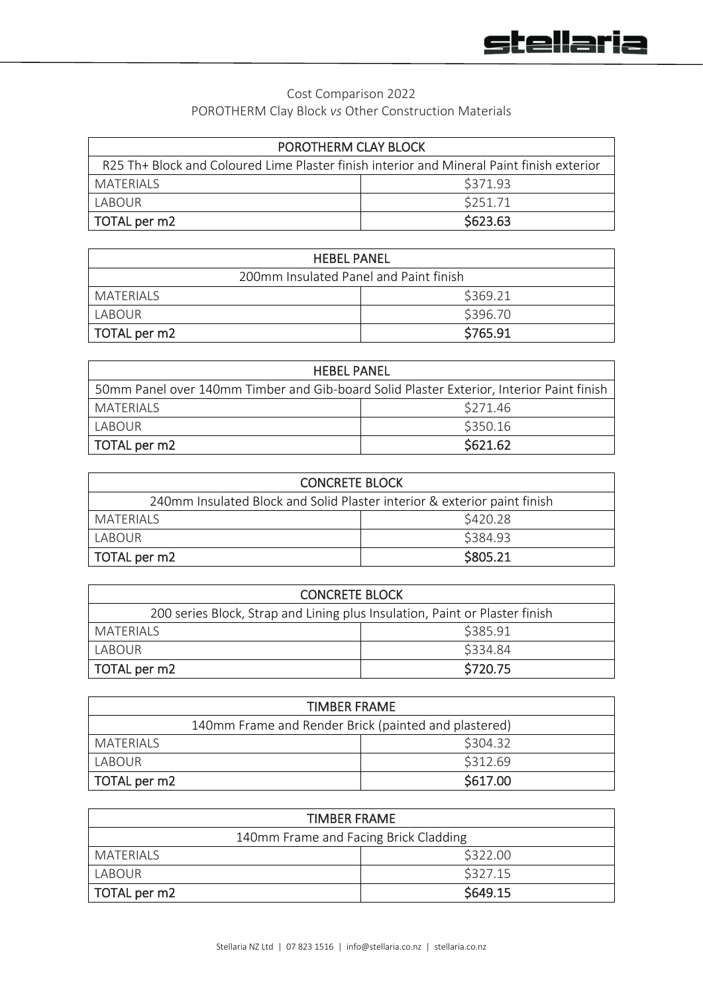## Cost Comparison 2022 POROTHERM Clay Block *vs* Other Construction Materials

| POROTHERM CLAY BLOCK                                                                      |          |
|-------------------------------------------------------------------------------------------|----------|
| R25 Th+ Block and Coloured Lime Plaster finish interior and Mineral Paint finish exterior |          |
| MATERIALS                                                                                 | \$371.93 |
| LABOUR                                                                                    | \$251.71 |
| TOTAL per m2                                                                              | \$623.63 |

| <b>HEBEL PANEL</b>                     |          |
|----------------------------------------|----------|
| 200mm Insulated Panel and Paint finish |          |
| MATERIALS                              | \$369.21 |
| LABOUR                                 | \$396.70 |
| TOTAL per m2                           | \$765.91 |

| <b>HEBEL PANEL</b>                                                                       |          |
|------------------------------------------------------------------------------------------|----------|
| 50mm Panel over 140mm Timber and Gib-board Solid Plaster Exterior, Interior Paint finish |          |
| MATERIALS                                                                                | \$271.46 |
| LABOUR                                                                                   | \$350.16 |
| TOTAL per m2                                                                             | \$621.62 |

| <b>CONCRETE BLOCK</b>                                                    |          |
|--------------------------------------------------------------------------|----------|
| 240mm Insulated Block and Solid Plaster interior & exterior paint finish |          |
| MATERIALS                                                                | \$420.28 |
| LABOUR                                                                   | \$384.93 |
| TOTAL per m2                                                             | \$805.21 |

| <b>CONCRETE BLOCK</b>                                                       |          |
|-----------------------------------------------------------------------------|----------|
| 200 series Block, Strap and Lining plus Insulation, Paint or Plaster finish |          |
| MATERIALS                                                                   | \$385.91 |
| LABOUR                                                                      | \$334.84 |
| TOTAL per m2                                                                | \$720.75 |

| <b>TIMBER FRAME</b>                                  |          |  |
|------------------------------------------------------|----------|--|
| 140mm Frame and Render Brick (painted and plastered) |          |  |
| MATERIALS                                            | \$304.32 |  |
| LABOUR                                               | \$312.69 |  |
| TOTAL per m2                                         | \$617.00 |  |

| <b>TIMBER FRAME</b>                   |          |
|---------------------------------------|----------|
| 140mm Frame and Facing Brick Cladding |          |
| MATFRIALS                             | \$322.00 |
| LABOUR                                | \$327.15 |
| TOTAL per m2                          | \$649.15 |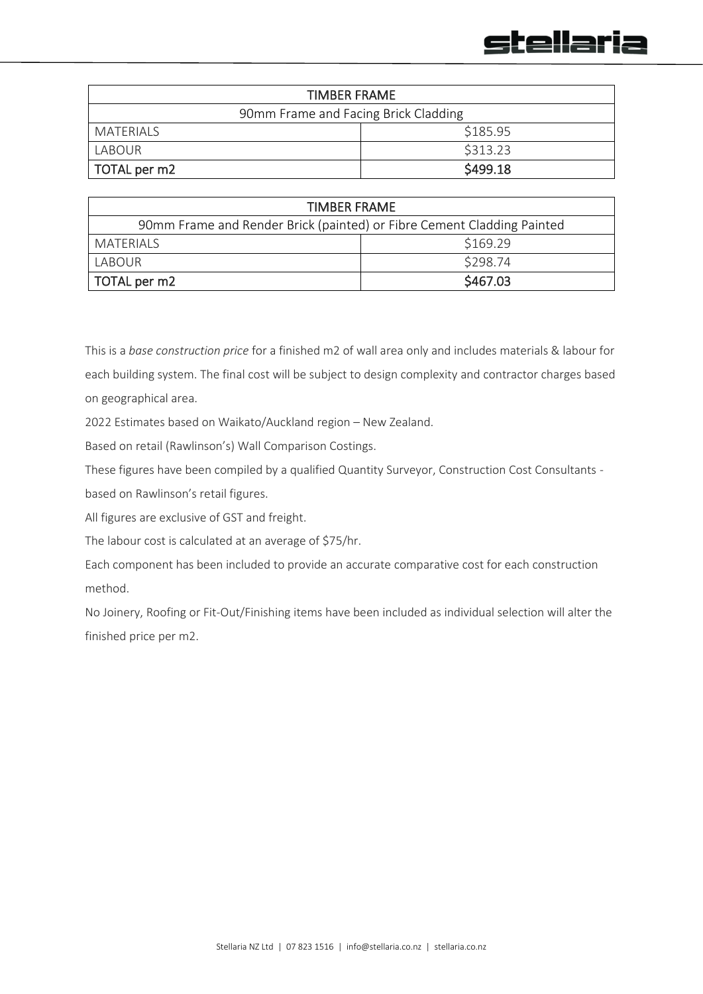

| <b>TIMBER FRAME</b>                  |          |
|--------------------------------------|----------|
| 90mm Frame and Facing Brick Cladding |          |
| MATERIALS                            | \$185.95 |
| LABOUR                               | \$313.23 |
| TOTAL per m2                         | \$499.18 |

| TIMBER FRAME                                                           |          |
|------------------------------------------------------------------------|----------|
| 90mm Frame and Render Brick (painted) or Fibre Cement Cladding Painted |          |
| MATERIALS                                                              | \$169.29 |
| LABOUR                                                                 | \$298.74 |
| TOTAL per m2                                                           | \$467.03 |

This is a *base construction price* for a finished m2 of wall area only and includes materials & labour for each building system. The final cost will be subject to design complexity and contractor charges based on geographical area.

2022 Estimates based on Waikato/Auckland region – New Zealand.

Based on retail (Rawlinson's) Wall Comparison Costings.

These figures have been compiled by a qualified Quantity Surveyor, Construction Cost Consultants -

based on Rawlinson's retail figures.

All figures are exclusive of GST and freight.

The labour cost is calculated at an average of \$75/hr.

Each component has been included to provide an accurate comparative cost for each construction method.

No Joinery, Roofing or Fit-Out/Finishing items have been included as individual selection will alter the finished price per m2.